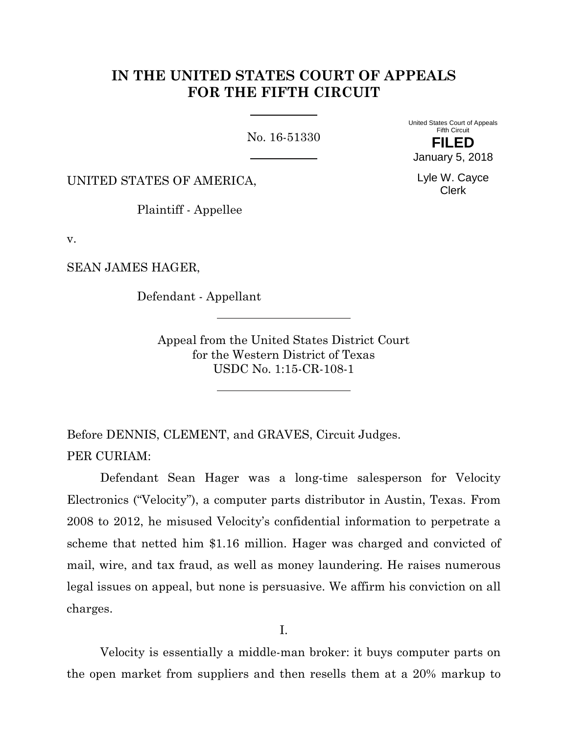# **IN THE UNITED STATES COURT OF APPEALS FOR THE FIFTH CIRCUIT**

No. 16-51330

United States Court of Appeals Fifth Circuit **FILED** January 5, 2018

Lyle W. Cayce Clerk

UNITED STATES OF AMERICA,

Plaintiff - Appellee

v.

SEAN JAMES HAGER,

Defendant - Appellant

Appeal from the United States District Court for the Western District of Texas USDC No. 1:15-CR-108-1

Before DENNIS, CLEMENT, and GRAVES, Circuit Judges. PER CURIAM:

Defendant Sean Hager was a long-time salesperson for Velocity Electronics ("Velocity"), a computer parts distributor in Austin, Texas. From 2008 to 2012, he misused Velocity's confidential information to perpetrate a scheme that netted him \$1.16 million. Hager was charged and convicted of mail, wire, and tax fraud, as well as money laundering. He raises numerous legal issues on appeal, but none is persuasive. We affirm his conviction on all charges.

I.

Velocity is essentially a middle-man broker: it buys computer parts on the open market from suppliers and then resells them at a 20% markup to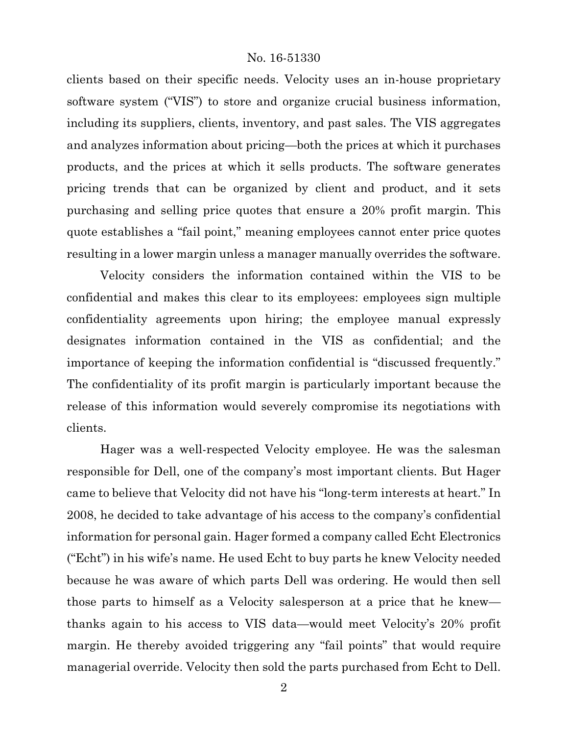clients based on their specific needs. Velocity uses an in-house proprietary software system ("VIS") to store and organize crucial business information, including its suppliers, clients, inventory, and past sales. The VIS aggregates and analyzes information about pricing—both the prices at which it purchases products, and the prices at which it sells products. The software generates pricing trends that can be organized by client and product, and it sets purchasing and selling price quotes that ensure a 20% profit margin. This quote establishes a "fail point," meaning employees cannot enter price quotes resulting in a lower margin unless a manager manually overrides the software.

Velocity considers the information contained within the VIS to be confidential and makes this clear to its employees: employees sign multiple confidentiality agreements upon hiring; the employee manual expressly designates information contained in the VIS as confidential; and the importance of keeping the information confidential is "discussed frequently." The confidentiality of its profit margin is particularly important because the release of this information would severely compromise its negotiations with clients.

Hager was a well-respected Velocity employee. He was the salesman responsible for Dell, one of the company's most important clients. But Hager came to believe that Velocity did not have his "long-term interests at heart." In 2008, he decided to take advantage of his access to the company's confidential information for personal gain. Hager formed a company called Echt Electronics ("Echt") in his wife's name. He used Echt to buy parts he knew Velocity needed because he was aware of which parts Dell was ordering. He would then sell those parts to himself as a Velocity salesperson at a price that he knew thanks again to his access to VIS data—would meet Velocity's 20% profit margin. He thereby avoided triggering any "fail points" that would require managerial override. Velocity then sold the parts purchased from Echt to Dell.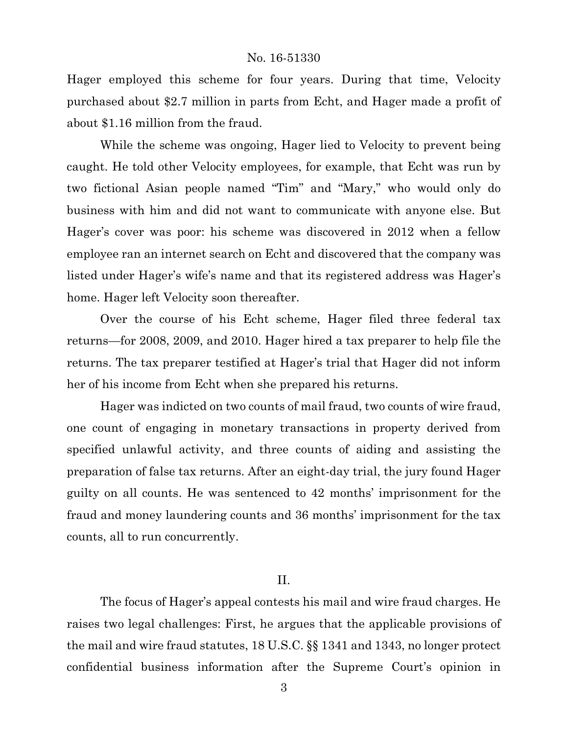Hager employed this scheme for four years. During that time, Velocity purchased about \$2.7 million in parts from Echt, and Hager made a profit of about \$1.16 million from the fraud.

While the scheme was ongoing, Hager lied to Velocity to prevent being caught. He told other Velocity employees, for example, that Echt was run by two fictional Asian people named "Tim" and "Mary," who would only do business with him and did not want to communicate with anyone else. But Hager's cover was poor: his scheme was discovered in 2012 when a fellow employee ran an internet search on Echt and discovered that the company was listed under Hager's wife's name and that its registered address was Hager's home. Hager left Velocity soon thereafter.

Over the course of his Echt scheme, Hager filed three federal tax returns—for 2008, 2009, and 2010. Hager hired a tax preparer to help file the returns. The tax preparer testified at Hager's trial that Hager did not inform her of his income from Echt when she prepared his returns.

Hager was indicted on two counts of mail fraud, two counts of wire fraud, one count of engaging in monetary transactions in property derived from specified unlawful activity, and three counts of aiding and assisting the preparation of false tax returns. After an eight-day trial, the jury found Hager guilty on all counts. He was sentenced to 42 months' imprisonment for the fraud and money laundering counts and 36 months' imprisonment for the tax counts, all to run concurrently.

#### II.

The focus of Hager's appeal contests his mail and wire fraud charges. He raises two legal challenges: First, he argues that the applicable provisions of the mail and wire fraud statutes, 18 U.S.C. §§ 1341 and 1343, no longer protect confidential business information after the Supreme Court's opinion in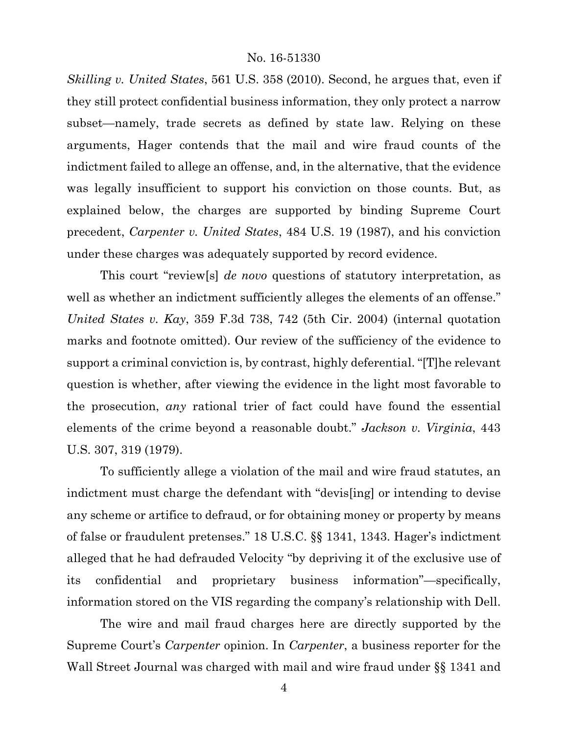*Skilling v. United States*, 561 U.S. 358 (2010). Second, he argues that, even if they still protect confidential business information, they only protect a narrow subset—namely, trade secrets as defined by state law. Relying on these arguments, Hager contends that the mail and wire fraud counts of the indictment failed to allege an offense, and, in the alternative, that the evidence was legally insufficient to support his conviction on those counts. But, as explained below, the charges are supported by binding Supreme Court precedent, *Carpenter v. United States*, 484 U.S. 19 (1987), and his conviction under these charges was adequately supported by record evidence.

This court "review[s] *de novo* questions of statutory interpretation, as well as whether an indictment sufficiently alleges the elements of an offense." *United States v. Kay*, 359 F.3d 738, 742 (5th Cir. 2004) (internal quotation marks and footnote omitted). Our review of the sufficiency of the evidence to support a criminal conviction is, by contrast, highly deferential. "[T]he relevant question is whether, after viewing the evidence in the light most favorable to the prosecution, *any* rational trier of fact could have found the essential elements of the crime beyond a reasonable doubt." *Jackson v. Virginia*, 443 U.S. 307, 319 (1979).

To sufficiently allege a violation of the mail and wire fraud statutes, an indictment must charge the defendant with "devis[ing] or intending to devise any scheme or artifice to defraud, or for obtaining money or property by means of false or fraudulent pretenses." 18 U.S.C. §§ 1341, 1343. Hager's indictment alleged that he had defrauded Velocity "by depriving it of the exclusive use of its confidential and proprietary business information"—specifically, information stored on the VIS regarding the company's relationship with Dell.

The wire and mail fraud charges here are directly supported by the Supreme Court's *Carpenter* opinion. In *Carpenter*, a business reporter for the Wall Street Journal was charged with mail and wire fraud under §§ 1341 and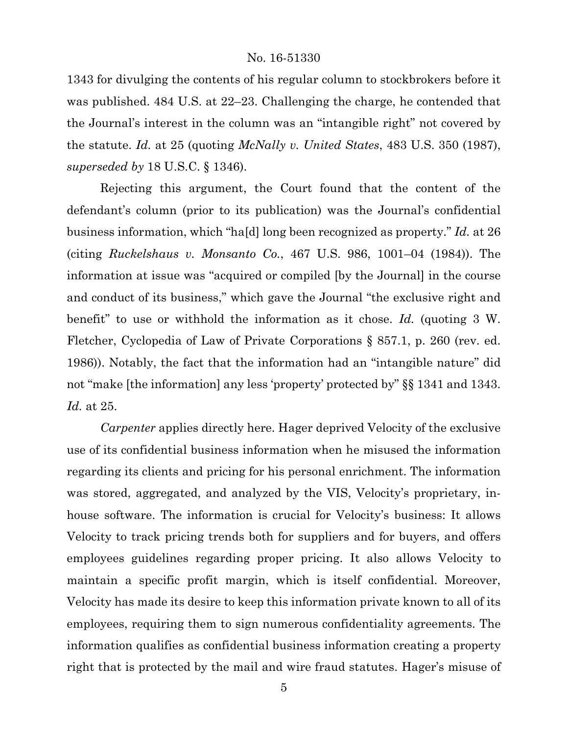1343 for divulging the contents of his regular column to stockbrokers before it was published. 484 U.S. at 22–23. Challenging the charge, he contended that the Journal's interest in the column was an "intangible right" not covered by the statute. *Id.* at 25 (quoting *McNally v. United States*, 483 U.S. 350 (1987), *superseded by* 18 U.S.C. § 1346).

Rejecting this argument, the Court found that the content of the defendant's column (prior to its publication) was the Journal's confidential business information, which "ha[d] long been recognized as property." *Id.* at 26 (citing *Ruckelshaus v. Monsanto Co.*, 467 U.S. 986, 1001–04 (1984)). The information at issue was "acquired or compiled [by the Journal] in the course and conduct of its business," which gave the Journal "the exclusive right and benefit" to use or withhold the information as it chose. *Id.* (quoting 3 W. Fletcher, Cyclopedia of Law of Private Corporations § 857.1, p. 260 (rev. ed. 1986)). Notably, the fact that the information had an "intangible nature" did not "make [the information] any less 'property' protected by" §§ 1341 and 1343. *Id.* at 25.

*Carpenter* applies directly here. Hager deprived Velocity of the exclusive use of its confidential business information when he misused the information regarding its clients and pricing for his personal enrichment. The information was stored, aggregated, and analyzed by the VIS, Velocity's proprietary, inhouse software. The information is crucial for Velocity's business: It allows Velocity to track pricing trends both for suppliers and for buyers, and offers employees guidelines regarding proper pricing. It also allows Velocity to maintain a specific profit margin, which is itself confidential. Moreover, Velocity has made its desire to keep this information private known to all of its employees, requiring them to sign numerous confidentiality agreements. The information qualifies as confidential business information creating a property right that is protected by the mail and wire fraud statutes. Hager's misuse of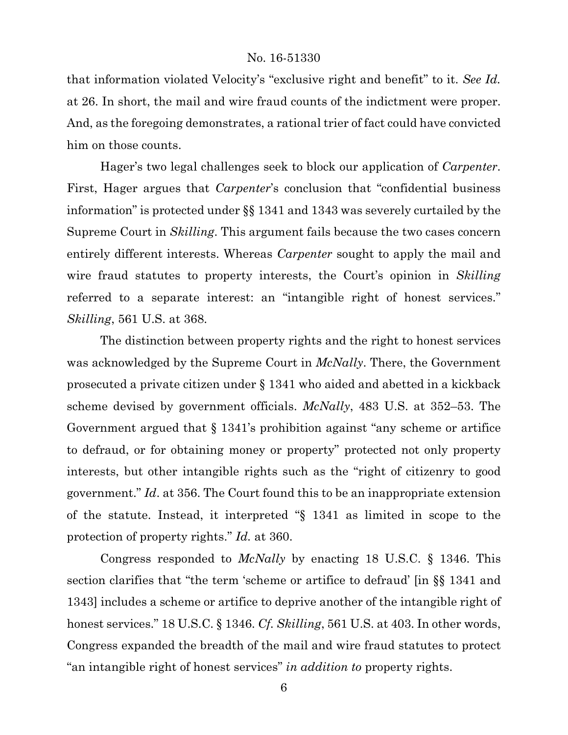that information violated Velocity's "exclusive right and benefit" to it. *See Id.* at 26. In short, the mail and wire fraud counts of the indictment were proper. And, as the foregoing demonstrates, a rational trier of fact could have convicted him on those counts.

Hager's two legal challenges seek to block our application of *Carpenter*. First, Hager argues that *Carpenter*'s conclusion that "confidential business information" is protected under §§ 1341 and 1343 was severely curtailed by the Supreme Court in *Skilling*. This argument fails because the two cases concern entirely different interests. Whereas *Carpenter* sought to apply the mail and wire fraud statutes to property interests, the Court's opinion in *Skilling* referred to a separate interest: an "intangible right of honest services." *Skilling*, 561 U.S. at 368.

The distinction between property rights and the right to honest services was acknowledged by the Supreme Court in *McNally*. There, the Government prosecuted a private citizen under § 1341 who aided and abetted in a kickback scheme devised by government officials. *McNally*, 483 U.S. at 352–53. The Government argued that § 1341's prohibition against "any scheme or artifice to defraud, or for obtaining money or property" protected not only property interests, but other intangible rights such as the "right of citizenry to good government." *Id*. at 356. The Court found this to be an inappropriate extension of the statute. Instead, it interpreted "§ 1341 as limited in scope to the protection of property rights." *Id.* at 360.

Congress responded to *McNally* by enacting 18 U.S.C. § 1346. This section clarifies that "the term 'scheme or artifice to defraud' [in §§ 1341 and 1343] includes a scheme or artifice to deprive another of the intangible right of honest services." 18 U.S.C. § 1346. *Cf. Skilling*, 561 U.S. at 403. In other words, Congress expanded the breadth of the mail and wire fraud statutes to protect "an intangible right of honest services" *in addition to* property rights.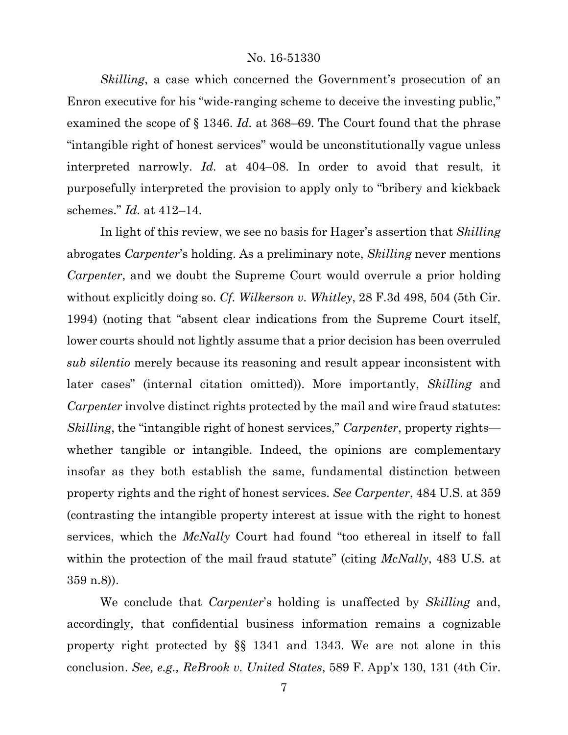*Skilling*, a case which concerned the Government's prosecution of an Enron executive for his "wide-ranging scheme to deceive the investing public," examined the scope of § 1346. *Id.* at 368–69. The Court found that the phrase "intangible right of honest services" would be unconstitutionally vague unless interpreted narrowly. *Id.* at 404–08. In order to avoid that result, it purposefully interpreted the provision to apply only to "bribery and kickback schemes." *Id.* at 412–14.

In light of this review, we see no basis for Hager's assertion that *Skilling*  abrogates *Carpenter*'s holding. As a preliminary note, *Skilling* never mentions *Carpenter*, and we doubt the Supreme Court would overrule a prior holding without explicitly doing so. *Cf. Wilkerson v. Whitley*, 28 F.3d 498, 504 (5th Cir. 1994) (noting that "absent clear indications from the Supreme Court itself, lower courts should not lightly assume that a prior decision has been overruled *sub silentio* merely because its reasoning and result appear inconsistent with later cases" (internal citation omitted)). More importantly, *Skilling* and *Carpenter* involve distinct rights protected by the mail and wire fraud statutes: *Skilling*, the "intangible right of honest services," *Carpenter*, property rights whether tangible or intangible. Indeed, the opinions are complementary insofar as they both establish the same, fundamental distinction between property rights and the right of honest services. *See Carpenter*, 484 U.S. at 359 (contrasting the intangible property interest at issue with the right to honest services, which the *McNally* Court had found "too ethereal in itself to fall within the protection of the mail fraud statute" (citing *McNally*, 483 U.S. at 359 n.8)).

We conclude that *Carpenter*'s holding is unaffected by *Skilling* and, accordingly, that confidential business information remains a cognizable property right protected by §§ 1341 and 1343. We are not alone in this conclusion. *See, e.g., ReBrook v. United States*, 589 F. App'x 130, 131 (4th Cir.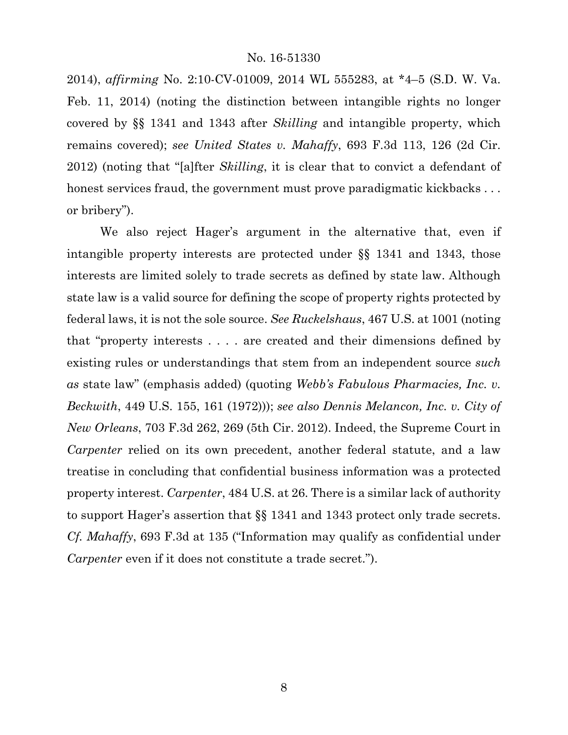2014), *affirming* No. 2:10-CV-01009, 2014 WL 555283, at \*4–5 (S.D. W. Va. Feb. 11, 2014) (noting the distinction between intangible rights no longer covered by §§ 1341 and 1343 after *Skilling* and intangible property, which remains covered); *see United States v. Mahaffy*, 693 F.3d 113, 126 (2d Cir. 2012) (noting that "[a]fter *Skilling*, it is clear that to convict a defendant of honest services fraud, the government must prove paradigmatic kickbacks... or bribery").

We also reject Hager's argument in the alternative that, even if intangible property interests are protected under §§ 1341 and 1343, those interests are limited solely to trade secrets as defined by state law. Although state law is a valid source for defining the scope of property rights protected by federal laws, it is not the sole source. *See Ruckelshaus*, 467 U.S. at 1001 (noting that "property interests . . . . are created and their dimensions defined by existing rules or understandings that stem from an independent source *such as* state law" (emphasis added) (quoting *Webb's Fabulous Pharmacies, Inc. v. Beckwith*, 449 U.S. 155, 161 (1972))); *see also Dennis Melancon, Inc. v. City of New Orleans*, 703 F.3d 262, 269 (5th Cir. 2012). Indeed, the Supreme Court in *Carpenter* relied on its own precedent, another federal statute, and a law treatise in concluding that confidential business information was a protected property interest. *Carpenter*, 484 U.S. at 26. There is a similar lack of authority to support Hager's assertion that §§ 1341 and 1343 protect only trade secrets. *Cf. Mahaffy*, 693 F.3d at 135 ("Information may qualify as confidential under *Carpenter* even if it does not constitute a trade secret.").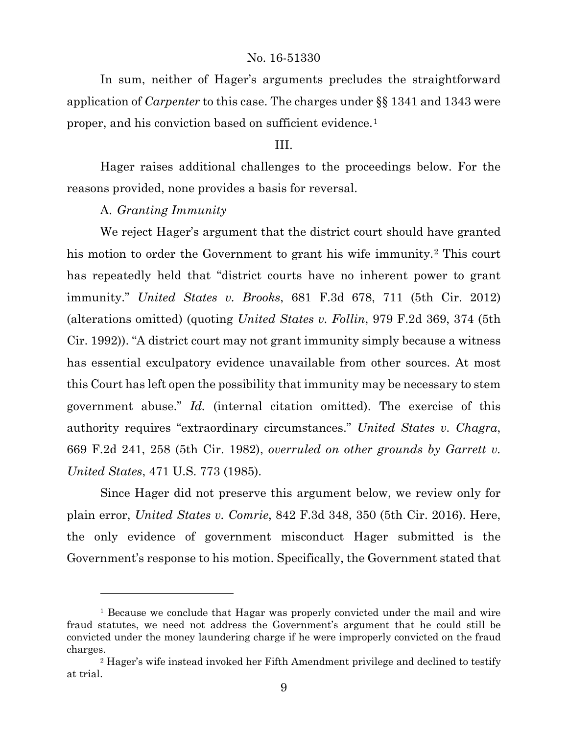In sum, neither of Hager's arguments precludes the straightforward application of *Carpenter* to this case. The charges under §§ 1341 and 1343 were proper, and his conviction based on sufficient evidence.[1](#page-8-0)

## III.

Hager raises additional challenges to the proceedings below. For the reasons provided, none provides a basis for reversal.

# A. *Granting Immunity*

 $\overline{a}$ 

We reject Hager's argument that the district court should have granted his motion to order the Government to grant his wife immunity.<sup>[2](#page-8-1)</sup> This court has repeatedly held that "district courts have no inherent power to grant immunity." *United States v. Brooks*, 681 F.3d 678, 711 (5th Cir. 2012) (alterations omitted) (quoting *United States v. Follin*, 979 F.2d 369, 374 (5th Cir. 1992)). "A district court may not grant immunity simply because a witness has essential exculpatory evidence unavailable from other sources. At most this Court has left open the possibility that immunity may be necessary to stem government abuse." *Id.* (internal citation omitted). The exercise of this authority requires "extraordinary circumstances." *United States v. Chagra*, 669 F.2d 241, 258 (5th Cir. 1982), *overruled on other grounds by Garrett v. United States*, 471 U.S. 773 (1985).

Since Hager did not preserve this argument below, we review only for plain error, *United States v. Comrie*, 842 F.3d 348, 350 (5th Cir. 2016). Here, the only evidence of government misconduct Hager submitted is the Government's response to his motion. Specifically, the Government stated that

<span id="page-8-0"></span><sup>&</sup>lt;sup>1</sup> Because we conclude that Hagar was properly convicted under the mail and wire fraud statutes, we need not address the Government's argument that he could still be convicted under the money laundering charge if he were improperly convicted on the fraud charges.

<span id="page-8-1"></span><sup>2</sup> Hager's wife instead invoked her Fifth Amendment privilege and declined to testify at trial.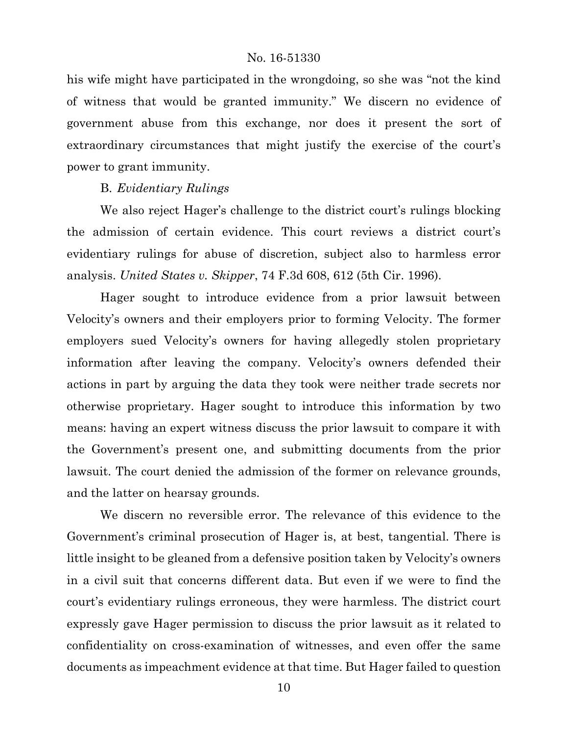his wife might have participated in the wrongdoing, so she was "not the kind of witness that would be granted immunity." We discern no evidence of government abuse from this exchange, nor does it present the sort of extraordinary circumstances that might justify the exercise of the court's power to grant immunity.

# B. *Evidentiary Rulings*

We also reject Hager's challenge to the district court's rulings blocking the admission of certain evidence. This court reviews a district court's evidentiary rulings for abuse of discretion, subject also to harmless error analysis. *United States v. Skipper*, 74 F.3d 608, 612 (5th Cir. 1996).

Hager sought to introduce evidence from a prior lawsuit between Velocity's owners and their employers prior to forming Velocity. The former employers sued Velocity's owners for having allegedly stolen proprietary information after leaving the company. Velocity's owners defended their actions in part by arguing the data they took were neither trade secrets nor otherwise proprietary. Hager sought to introduce this information by two means: having an expert witness discuss the prior lawsuit to compare it with the Government's present one, and submitting documents from the prior lawsuit. The court denied the admission of the former on relevance grounds, and the latter on hearsay grounds.

We discern no reversible error. The relevance of this evidence to the Government's criminal prosecution of Hager is, at best, tangential. There is little insight to be gleaned from a defensive position taken by Velocity's owners in a civil suit that concerns different data. But even if we were to find the court's evidentiary rulings erroneous, they were harmless. The district court expressly gave Hager permission to discuss the prior lawsuit as it related to confidentiality on cross-examination of witnesses, and even offer the same documents as impeachment evidence at that time. But Hager failed to question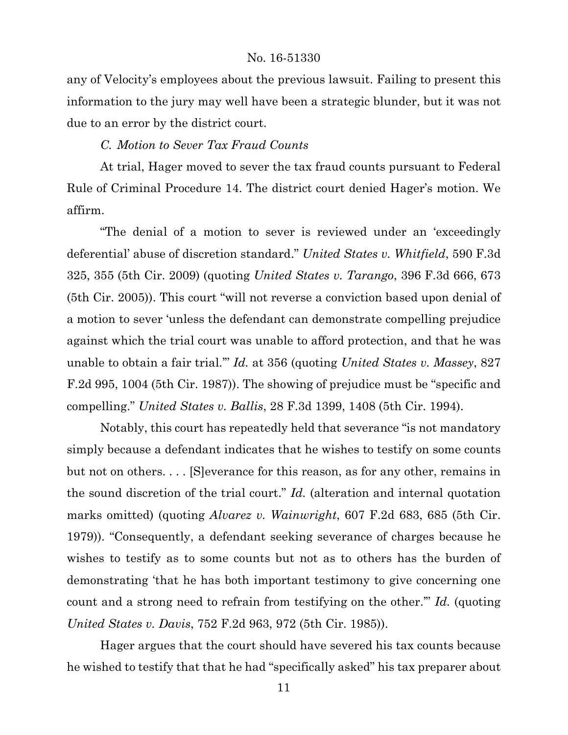any of Velocity's employees about the previous lawsuit. Failing to present this information to the jury may well have been a strategic blunder, but it was not due to an error by the district court.

# *C. Motion to Sever Tax Fraud Counts*

At trial, Hager moved to sever the tax fraud counts pursuant to Federal Rule of Criminal Procedure 14. The district court denied Hager's motion. We affirm.

"The denial of a motion to sever is reviewed under an 'exceedingly deferential' abuse of discretion standard." *United States v. Whitfield*, 590 F.3d 325, 355 (5th Cir. 2009) (quoting *United States v. Tarango*, 396 F.3d 666, 673 (5th Cir. 2005)). This court "will not reverse a conviction based upon denial of a motion to sever 'unless the defendant can demonstrate compelling prejudice against which the trial court was unable to afford protection, and that he was unable to obtain a fair trial.'" *Id.* at 356 (quoting *United States v. Massey*, 827 F.2d 995, 1004 (5th Cir. 1987)). The showing of prejudice must be "specific and compelling." *United States v. Ballis*, 28 F.3d 1399, 1408 (5th Cir. 1994).

Notably, this court has repeatedly held that severance "is not mandatory simply because a defendant indicates that he wishes to testify on some counts but not on others. . . . [S]everance for this reason, as for any other, remains in the sound discretion of the trial court." *Id.* (alteration and internal quotation marks omitted) (quoting *Alvarez v. Wainwright*, 607 F.2d 683, 685 (5th Cir. 1979)). "Consequently, a defendant seeking severance of charges because he wishes to testify as to some counts but not as to others has the burden of demonstrating 'that he has both important testimony to give concerning one count and a strong need to refrain from testifying on the other.'" *Id.* (quoting *United States v. Davis*, 752 F.2d 963, 972 (5th Cir. 1985)).

Hager argues that the court should have severed his tax counts because he wished to testify that that he had "specifically asked" his tax preparer about